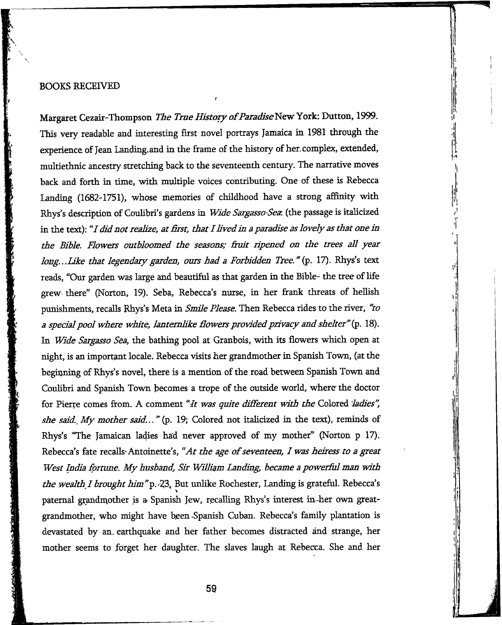## BOOKS RECEIVED

Margaret Cezair-Thompson *The True History of Paradise* New York: Dutton, 1999. This very readable and interesting first novel portrays Jamaica in 1981 through the experience of Jean Landing, and in the frame of the history of her, complex, extended, multiethnic ancestry stretching back to the seventeenth century. The narrative moves back and forth in time, with multiple voices contributing. One of these is Rebecca Landing (1682-1751), whose memories of childhood have a strong affinity with Rhys's description of Coulibri's gardens in *W ide Sargasso-Sea.* (the passage is italicized in the text): *"I did not realize, at first, that I lived in a paradise as lovely as that one in* the Bible. Flowers outbloomed the seasons; fruit ripened on the trees all year *long...Like that legendary garden, ours had a Forbidden Tree.* "(p. 17). Rhys's text reads, "Our garden was large and beautiful as that garden in the Bible- the tree of life grew there" (Norton, 19). Seba, Rebecca's nurse, in her frank threats of hellish punishments, recalls Rhys's Meta in *Smile Please*. Then Rebecca rides to the river, "to *a spedai pool where white, lantem like Powers provided privacy and shelter"* 18). In *Wide Sargasso Sea,* the bathing pool at Granbois, with its flowers which open at night, is an important locale, Rebecca visits her grandmother in Spanish Town, (at the beginning of Rhys's novel, there is a mention of the road between Spanish Town and Couhbri and Spanish Town becomes a trope of the outside world, where the doctor for Pierre comes from. A comment *"It was quite different w ith the* Colored *ladies",* she said. My mother said..." (p. 19; Colored not italicized in the text), reminds of Rhys's "The Jamaican ladies had never approved of my mother" (Norton p 17). Rebecca's fate recalls<sup>.</sup> Antoinette's, "At the age of seventeen, I was heiress to a great West India fortune. My husband, Sir William Landing, became a powerful man with *the wealth ! brought him "p. <2\* But unlike Rochester, Landing is grateful. Rebecca's paternal grandmother is a Spanish Jew, recalling Rhys's interest in-her own greatgrandmother, who might have been-Spanish Cuban. Rebecca's family plantation is devastated by an, earthquake and her father becomes distracted ánd strange, her mother seems to forget her daughter. The slaves laugh at Rebecca. She and her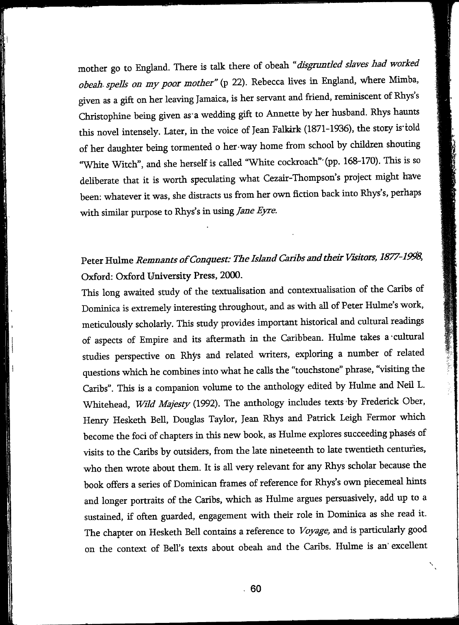mother go to England. There is talk there of obeah *"disgruntled slaves had worked obeah spells on my poor mother"* (p 22). Rebecca lives in England, where Mimba, given as a gift on her leaving Jamaica, is her servant and friend, reminiscent of Rhys's Christophine being given as a wedding gift to Annette by her husband. Rhys haunts this novel intensely. Later, in the voice of Jean Falkirk (1871-1936), the story is told of her daughter being tormented o her way home from school by children shouting 'W hite Witch", and she herself is called "White cockroach"'(pp. 168-170). This is so dehberate that it is worth speculating what Cezair-Thompson's project might have been: whatever it was, she distracts us from her own fiction back into Rhys's, perhaps with similar purpose to Rhys's in using *Jane Eyre*.

## Peter Hulme *Remnants of Conquest: The Island Caribs and their Visitors, 1877-1998*, Oxford: Oxford University Press, 2000.

This long awaited study of the textualisation and contextualisation of the Caribs of Dominica is extremely interesting throughout, and as with all of Peter Hulme's work, meticulously scholarly. This study provides important historical and cultural readings of aspects of Empire and its aftermath in the Caribbean. Hulme takes a cultural studies perspective on Rhys and related writers, exploring a number of related questions which he combines into what he calls the "touchstone" phrase, "visiting the Caribs". This is a companion volume to the anthology edited by Hulme and Neil L. Whitehead, *Wild Majesty* (1992). The anthology includes texts by Frederick Ober, Henry Hesketh Bell, Douglas Taylor, Jean Rhys and Patrick Leigh Fermor which become the foci of chapters in this new book, as Hulme explores succeeding phases of visits to the Caribs by outsiders, from the late nineteenth to late twentieth centuries, who then wrote about them. It is all very relevant for any Rhys scholar because the book offers a series of Dominican frames of reference for Rhys's own piecemeal hints and longer portraits of the Caribs, which as Hulme argues persuasively, add up to a sustained, if often guarded, engagement with their role in Dominica as she read it. The chapter on Hesketh Bell contains a reference to *Voyage,* and is particularly good on the context of Bell's texts about obeah and the Caribs. Hulme is an excellent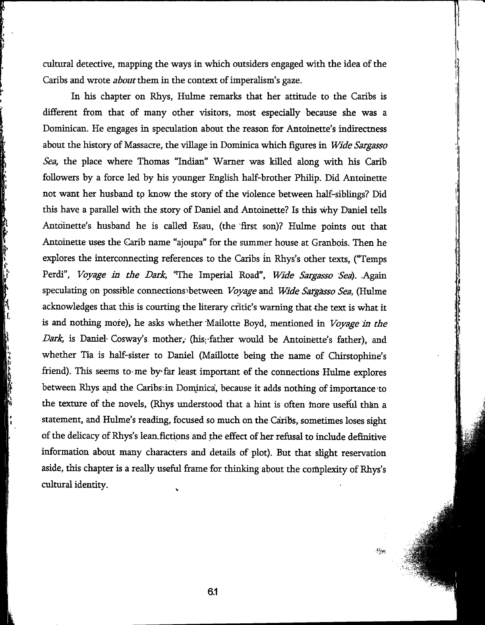cultural detective, mapping the ways in which outsiders engaged with the idea of the Caribs and wrote *about them* in the context of imperalism's gaze.

In his chapter on Rhys, Hulme remarks that her attitude to the Caribs is different from that of many other visitors, most especially because she was a Dominican. He engages in speculation about the reason for Antoinette's indirectness about the history of Massacre, the village in Dominica which figures in *W ide Sargasso Sea,* the place where Thomas "Indian" Warner was killed along with his Carib followers by a force led by his younger English half-brother Philip. Did Antoinette not want her husband to know the story of the violence between half-siblings? Did this have a parallel with the story of Daniel and Antoinette? Is this why Daniel tells Antoinette's husband he is called Esau, (the 'first son)? Hulme points out that Antoinette uses the Carib name "ajoupa" for the summer house at Granbois. Then he explores the interconnecting references to the Caribs in Rhys's other texts, ("Temps Perdi", *Voyage in the Dark*, "The Imperial Road", *Wide Sargasso Sea*). Again speculating on possible connections ^between *Voyage* and *W ide SaTgässo Sea,* (Hulme acknowledges that this is courting the literary critic's warning that the text is what it is and nothing more), he asks whether Mailotte Boyd, mentioned in *Voyage in the Dark*, is Daniel- Cosway's mother, (his;-father would be Antoinette's father), and whether Tia is half-sister to Daniel (Maillotte being the name of Chirstophine's friend). This seems to me by far least important of the connections Hulme explores between Rhys and the Caribs:in Dominica', because it adds nothing of importance to the texture of the novels, (Rhys understood that a hint is often more usefid than a statement, and Hulme's reading, focused so much on the Caribs, sometimes loses sight of the delicacy of Rhys's lean fictions and the effect of her refusal to include definitive information about many characters and details of plot). But that slight reservation aside, this chapter is a really useful frame for thinking about the complexity of Rhys's cultural identity. ^

k l.

h

يواء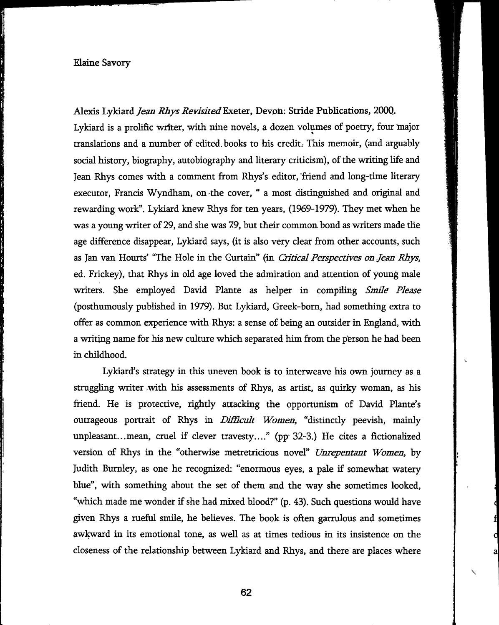## Elaine Savory

Alexis Lykiard *Jean Rhys Revisited* Exeter, Devon: Stride Publications, 2000. Lykiard is a prolific writer, with nine novels, a dozen volumes of poetry, four major translations and a number of edited, books to his credit. This memoir, (and arguably social history, biography, autobiography and literary criticism), of the writing life and Jean Rhys comes with a comment from Rhys's editor, friend and long-time literary executor, Francis Wyndham, on-the cover, " a most distinguished and original and rewarding work". Lykiard knew Rhys for ten years, (1969-1979). They met when he was a young writer of 29, and she was 79, but their common bond as writers made the age difference disappear, Lykiard says, (it is also very clear from other accounts, such as Jan van Hourts' "The Hole in the Curtain" (in *Critical Perspectives on Jean Rhys,* ed. Frickey), that Rhys in old age loved the admiration and attention of young male writers. She employed David Plante as helper in compiling *Smile Please* (posthumously pubfished in 1979). But Lykiard, Greek-born, had something extra to offer as common experience with Rhys: a sense of being an outsider in England, with a writing name for his new culture which separated him from the person he had been in childhood.

Lykiard's strategy in this uneven book is to interweave his own journey as a struggling writer with his assessments of Rhys, as artist, as quirky woman, as his friend. He is protective, rightly attacking the opportunism of David Plante's outrageous portrait of Rhys in *Difficult Women*, "distinctly peevish, mainly unpleasant...mean, cruel if clever travesty...." (pp<sup>.</sup> 32-3.) He cites a fictionalized version of Rhys in the "otherwise metretricious novel" *Unrepentant Women,* by Judith Burnley, as one he recognized: "enormous eyes, a pale if somewhat watery blue", with something about the set of them and the way she sometimes looked, "which made me wonder if she had mixed blood?" (p. 43). Such questions would have given Rhys a rueful smile, he believes. The book is often garrulous and sometimes awkward in its emotional tone, as well as at times tedious in its insistence on the closeness of the relationship between Lykiard and Rhys, and there are places where

**62**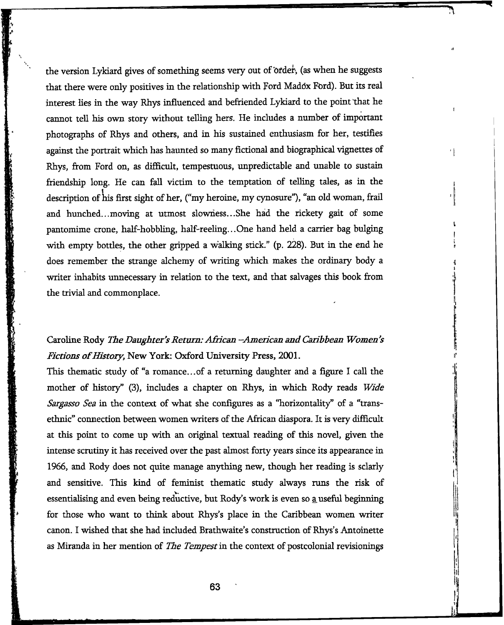the version Lykiard gives of something seems very out of order, (as when he suggests that there were only positives in the relationship with Ford Maddx Förd). But its real interest lies in the way Rhys influenced and befriended Lykiard to the point that he cannot tell his own story without telling hers. He includes a number of important photographs of Rhys and others, and in his sustained enthusiasm for her, testifies against the portrait which has haunted so many fictional and biographical vignettes of Rhys, from Ford on, as difficult, tempestuous, unpredictable and imable to sustain friendship long. He can fall victim to the temptation of telling tales, as in the description of his first sight of her, ("my heroine, my cynosure"), "an old woman, frail and hunched.. .moving at utmost slowness.. .She had the rickety gait of some pantomime crone, half-hobbling, half-reeling...One hand held a carrier bag bulging with empty bottles, the other gripped a walking stick." (p. 228). But in the end he does remember the strange alchemy of writing which makes the ordinary body a writer inhabits unnecessary in relation to the text, and that salvages this book from the trivial and commonplace.

 $\mathbf{I}$ 

 $\overline{\phantom{a}}$ 

## Caroline Rody *The Daughter's Return: African -American and Caribbean Women's Fictions of History, New York: Oxford University Press, 2001.*

This thematic study of "a romance...of a returning daughter and a figure I call the mother of history" (3), includes a chapter on Rhys, in which Rody reads *Wide Sargasso Sea* in the context of what she configures as a "horizontality" of a "transethnic" connection between women writers of the African diaspora. It is very difficult at this point to come up with an original textual reading of this novel, given the intense scrutiny it has received over the past almost forty years smce its appearance in 1966, and Rody does not quite manage anything new, though her reading is sclarly and sensitive. This kind of feminist thematic study always runs the risk of essentialising and even being reductive, but Rody's work is even so <u>a</u> useful beginning for those who want to think about Rhys's place in the Caribbean women writer canon. I wished that she had included Brathwaite's construction of Rhys's Antoinette as Miranda in her mention of *The Tempest* in the context of postcolonial revisionings